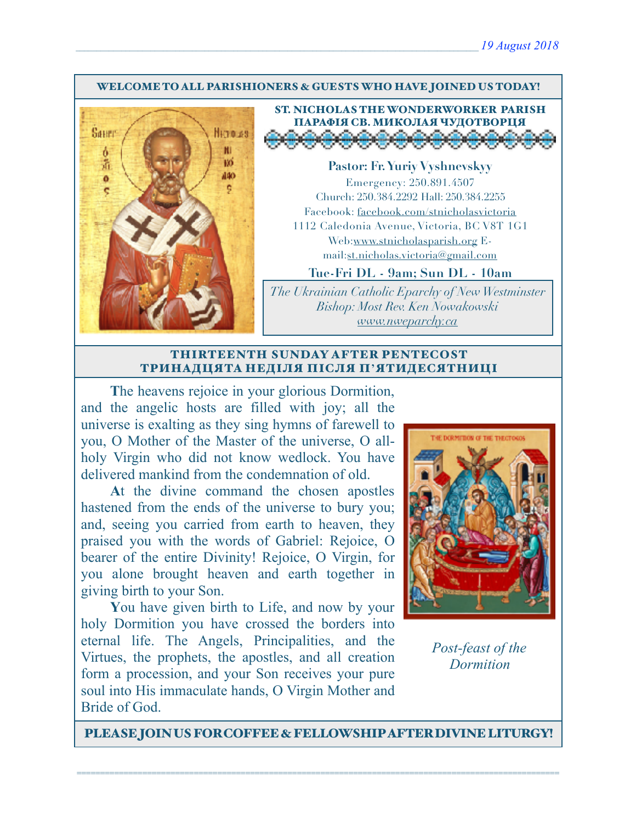#### WELCOME TO ALL PARISHIONERS & GUESTS WHO HAVE JOINED US TODAY!



ST. NICHOLAS THE WONDERWORKER PARISH ПАРАФІЯ СВ. МИКОЛАЯ ЧУДОТВОРЦЯ

**Pastor: Fr. Yuriy Vyshnevskyy** Emergency: 250.891.4507 Church: 250.384.2292 Hall: 250.384.2255 Facebook: facebook.com/stnicholasvictoria 1112 Caledonia Avenue, Victoria, BC V8T 1G1 Web[:www.stnicholasparish.org](http://www.stnicholasparish.org) Email:[st.nicholas.victoria@gmail.com](mailto:st.nicholas.victoria@gmail.com)

**Tue-Fri DL - 9am; Sun DL - 10am**

*The Ukrainian Catholic Eparchy of New Westminster Bishop: Most Rev. Ken Nowakowski [www.nweparchy.ca](http://www.nweparchy.ca)*

#### THIRTEENTH SUNDAY AFTER PENTECOST ТРИНАДЦЯТА НЕДІЛЯ ПІСЛЯ П**'**ЯТИДЕСЯТНИЦІ

**T**he heavens rejoice in your glorious Dormition, and the angelic hosts are filled with joy; all the universe is exalting as they sing hymns of farewell to you, O Mother of the Master of the universe, O allholy Virgin who did not know wedlock. You have delivered mankind from the condemnation of old.

**A**t the divine command the chosen apostles hastened from the ends of the universe to bury you; and, seeing you carried from earth to heaven, they praised you with the words of Gabriel: Rejoice, O bearer of the entire Divinity! Rejoice, O Virgin, for you alone brought heaven and earth together in giving birth to your Son.

**Y**ou have given birth to Life, and now by your holy Dormition you have crossed the borders into eternal life. The Angels, Principalities, and the Virtues, the prophets, the apostles, and all creation form a procession, and your Son receives your pure soul into His immaculate hands, O Virgin Mother and Bride of God.



*Post-feast of the Dormition*

PLEASE JOIN US FOR COFFEE & FELLOWSHIP AFTER DIVINE LITURGY!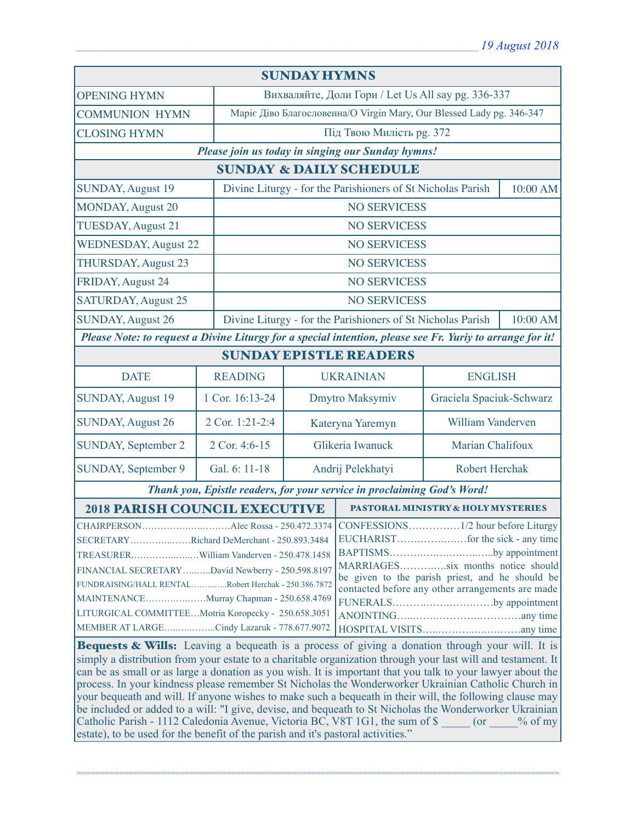| <b>SUNDAY HYMNS</b>                                                                                                                                                                                                                                                                                                                                                                                                                                                                                                                                                                                                                                                                                                         |                 |                                                                         |                                            |                          |  |  |
|-----------------------------------------------------------------------------------------------------------------------------------------------------------------------------------------------------------------------------------------------------------------------------------------------------------------------------------------------------------------------------------------------------------------------------------------------------------------------------------------------------------------------------------------------------------------------------------------------------------------------------------------------------------------------------------------------------------------------------|-----------------|-------------------------------------------------------------------------|--------------------------------------------|--------------------------|--|--|
| <b>OPENING HYMN</b>                                                                                                                                                                                                                                                                                                                                                                                                                                                                                                                                                                                                                                                                                                         |                 | Вихваляйте, Доли Гори / Let Us All say pg. 336-337                      |                                            |                          |  |  |
| <b>COMMUNION HYMN</b>                                                                                                                                                                                                                                                                                                                                                                                                                                                                                                                                                                                                                                                                                                       |                 | Маріє Діво Благословенна/О Virgin Mary, Our Blessed Lady pg. 346-347    |                                            |                          |  |  |
| <b>CLOSING HYMN</b>                                                                                                                                                                                                                                                                                                                                                                                                                                                                                                                                                                                                                                                                                                         |                 |                                                                         | Під Твою Милість рд. 372                   |                          |  |  |
| Please join us today in singing our Sunday hymns!                                                                                                                                                                                                                                                                                                                                                                                                                                                                                                                                                                                                                                                                           |                 |                                                                         |                                            |                          |  |  |
| <b>SUNDAY &amp; DAILY SCHEDULE</b>                                                                                                                                                                                                                                                                                                                                                                                                                                                                                                                                                                                                                                                                                          |                 |                                                                         |                                            |                          |  |  |
| <b>SUNDAY, August 19</b>                                                                                                                                                                                                                                                                                                                                                                                                                                                                                                                                                                                                                                                                                                    |                 | Divine Liturgy - for the Parishioners of St Nicholas Parish             |                                            | 10:00 AM                 |  |  |
| <b>MONDAY, August 20</b>                                                                                                                                                                                                                                                                                                                                                                                                                                                                                                                                                                                                                                                                                                    |                 |                                                                         | <b>NO SERVICESS</b>                        |                          |  |  |
| <b>TUESDAY, August 21</b>                                                                                                                                                                                                                                                                                                                                                                                                                                                                                                                                                                                                                                                                                                   |                 |                                                                         | <b>NO SERVICESS</b>                        |                          |  |  |
| <b>WEDNESDAY, August 22</b>                                                                                                                                                                                                                                                                                                                                                                                                                                                                                                                                                                                                                                                                                                 |                 |                                                                         | <b>NO SERVICESS</b>                        |                          |  |  |
| <b>THURSDAY, August 23</b>                                                                                                                                                                                                                                                                                                                                                                                                                                                                                                                                                                                                                                                                                                  |                 |                                                                         | <b>NO SERVICESS</b>                        |                          |  |  |
| FRIDAY, August 24                                                                                                                                                                                                                                                                                                                                                                                                                                                                                                                                                                                                                                                                                                           |                 |                                                                         | <b>NO SERVICESS</b>                        |                          |  |  |
| <b>SATURDAY, August 25</b>                                                                                                                                                                                                                                                                                                                                                                                                                                                                                                                                                                                                                                                                                                  |                 |                                                                         | <b>NO SERVICESS</b>                        |                          |  |  |
| <b>SUNDAY, August 26</b>                                                                                                                                                                                                                                                                                                                                                                                                                                                                                                                                                                                                                                                                                                    |                 | Divine Liturgy - for the Parishioners of St Nicholas Parish<br>10:00 AM |                                            |                          |  |  |
| Please Note: to request a Divine Liturgy for a special intention, please see Fr. Yuriy to arrange for it!                                                                                                                                                                                                                                                                                                                                                                                                                                                                                                                                                                                                                   |                 |                                                                         |                                            |                          |  |  |
| <b>SUNDAY EPISTLE READERS</b>                                                                                                                                                                                                                                                                                                                                                                                                                                                                                                                                                                                                                                                                                               |                 |                                                                         |                                            |                          |  |  |
| <b>DATE</b>                                                                                                                                                                                                                                                                                                                                                                                                                                                                                                                                                                                                                                                                                                                 | <b>READING</b>  |                                                                         | <b>UKRAINIAN</b>                           | <b>ENGLISH</b>           |  |  |
| <b>SUNDAY, August 19</b>                                                                                                                                                                                                                                                                                                                                                                                                                                                                                                                                                                                                                                                                                                    | 1 Cor. 16:13-24 |                                                                         | Dmytro Maksymiv                            | Graciela Spaciuk-Schwarz |  |  |
| <b>SUNDAY, August 26</b>                                                                                                                                                                                                                                                                                                                                                                                                                                                                                                                                                                                                                                                                                                    | 2 Cor. 1:21-2:4 |                                                                         | Kateryna Yaremyn                           | William Vanderven        |  |  |
| <b>SUNDAY, September 2</b>                                                                                                                                                                                                                                                                                                                                                                                                                                                                                                                                                                                                                                                                                                  | 2 Cor. 4:6-15   |                                                                         | Glikeria Iwanuck<br>Marian Chalifoux       |                          |  |  |
| SUNDAY, September 9                                                                                                                                                                                                                                                                                                                                                                                                                                                                                                                                                                                                                                                                                                         | Gal. 6: 11-18   |                                                                         | Andrij Pelekhatyi<br><b>Robert Herchak</b> |                          |  |  |
| Thank you, Epistle readers, for your service in proclaiming God's Word!                                                                                                                                                                                                                                                                                                                                                                                                                                                                                                                                                                                                                                                     |                 |                                                                         |                                            |                          |  |  |
| <b>2018 PARISH COUNCIL EXECUTIVE</b>                                                                                                                                                                                                                                                                                                                                                                                                                                                                                                                                                                                                                                                                                        |                 |                                                                         | PASTORAL MINISTRY & HOLY MYSTERIES         |                          |  |  |
| SECRETARYRichard DeMerchant - 250.893.3484<br>BAPTISMSby appointment<br>MARRIAGESsix months notice should<br>FINANCIAL SECRETARYDavid Newberry - 250.598.8197<br>be given to the parish priest, and he should be<br>FUNDRAISING/HALL RENTALRobert Herchak - 250.386.7872<br>contacted before any other arrangements are made<br>MAINTENANCEMurray Chapman - 250.658.4769<br>FUNERALSby appointment<br>LITURGICAL COMMITTEEMotria Koropecky - 250.658.3051<br>MEMBER AT LARGECindy Lazaruk - 778.677.9072<br>Bequests & Wills: Leaving a bequeath is a process of giving a donation through your will. It is<br>simply a distribution from your estate to a charitable organization through your last will and testament. It |                 |                                                                         |                                            |                          |  |  |
| can be as small or as large a donation as you wish. It is important that you talk to your lawyer about the<br>process. In your kindness please remember St Nicholas the Wonderworker Ukrainian Catholic Church in<br>your bequeath and will. If anyone wishes to make such a bequeath in their will, the following clause may<br>be included or added to a will: "I give, devise, and bequeath to St Nicholas the Wonderworker Ukrainian<br>Catholic Parish - 1112 Caledonia Avenue, Victoria BC, V8T 1G1, the sum of \$ (or % of my<br>estate), to be used for the benefit of the parish and it's pastoral activities."                                                                                                    |                 |                                                                         |                                            |                          |  |  |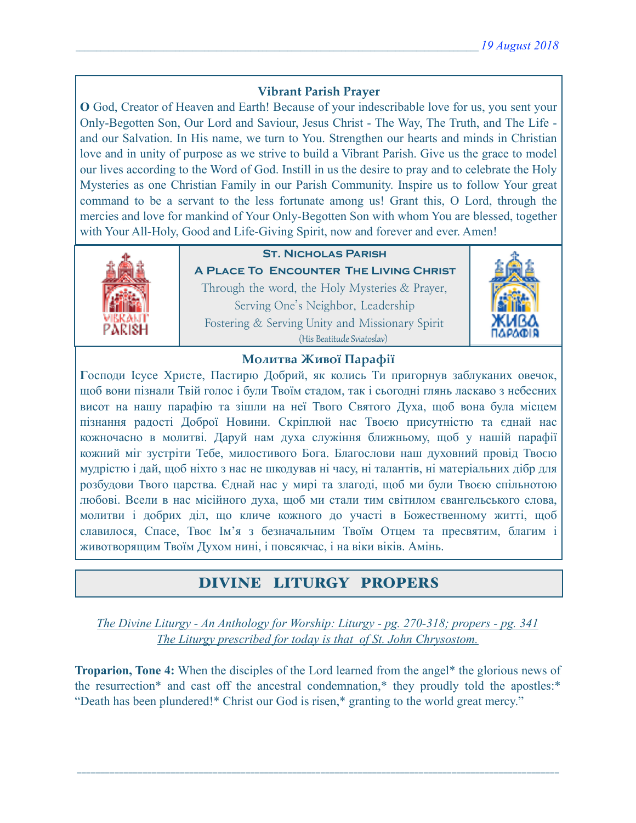## **Vibrant Parish Prayer**

**O** God, Creator of Heaven and Earth! Because of your indescribable love for us, you sent your Only-Begotten Son, Our Lord and Saviour, Jesus Christ - The Way, The Truth, and The Life and our Salvation. In His name, we turn to You. Strengthen our hearts and minds in Christian love and in unity of purpose as we strive to build a Vibrant Parish. Give us the grace to model our lives according to the Word of God. Instill in us the desire to pray and to celebrate the Holy Mysteries as one Christian Family in our Parish Community. Inspire us to follow Your great command to be a servant to the less fortunate among us! Grant this, O Lord, through the mercies and love for mankind of Your Only-Begotten Son with whom You are blessed, together with Your All-Holy, Good and Life-Giving Spirit, now and forever and ever. Amen!



## **St. Nicholas Parish**

**A Place To Encounter The Living Christ** Through the word, the Holy Mysteries & Prayer, Serving One's Neighbor, Leadership Fostering & Serving Unity and Missionary Spirit (His Beatitude Sviatoslav)



### **Молитва Живої Парафії**

**Г**осподи Ісусе Христе, Пастирю Добрий, як колись Ти пригорнув заблуканих овечок, щоб вони пізнали Твій голос і були Твоїм стадом, так і сьогодні глянь ласкаво з небесних висот на нашу парафію та зішли на неї Твого Святого Духа, щоб вона була місцем пізнання радості Доброї Новини. Скріплюй нас Твоєю присутністю та єднай нас кожночасно в молитві. Даруй нам духа служіння ближньому, щоб у нашій парафії кожний міг зустріти Тебе, милостивого Бога. Благослови наш духовний провід Твоєю мудрістю і дай, щоб ніхто з нас не шкодував ні часу, ні талантів, ні матеріальних дібр для розбудови Твого царства. Єднай нас у мирі та злагоді, щоб ми були Твоєю спільнотою любові. Всели в нас місійного духа, щоб ми стали тим світилом євангельського слова, молитви і добрих діл, що кличе кожного до участі в Божественному житті, щоб славилося, Спасе, Твоє Ім'я з безначальним Твоїм Отцем та пресвятим, благим і животворящим Твоїм Духом нині, і повсякчас, і на віки віків. Амінь.

# DIVINE LITURGY PROPERS

*The Divine Liturgy - An Anthology for Worship: Liturgy - pg. 270-318; propers - pg. 341 The Liturgy prescribed for today is that of St. John Chrysostom.* 

**Troparion, Tone 4:** When the disciples of the Lord learned from the angel\* the glorious news of the resurrection\* and cast off the ancestral condemnation,\* they proudly told the apostles:\* "Death has been plundered!\* Christ our God is risen,\* granting to the world great mercy."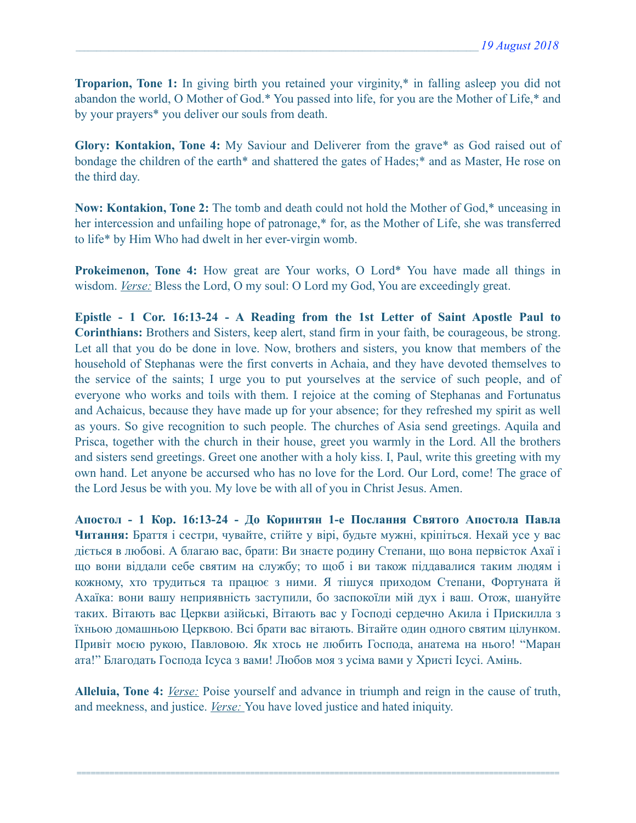**Troparion, Tone 1:** In giving birth you retained your virginity,\* in falling asleep you did not abandon the world, O Mother of God.\* You passed into life, for you are the Mother of Life,\* and by your prayers\* you deliver our souls from death.

**Glory: Kontakion, Tone 4:** My Saviour and Deliverer from the grave\* as God raised out of bondage the children of the earth\* and shattered the gates of Hades;\* and as Master, He rose on the third day.

**Now: Kontakion, Tone 2:** The tomb and death could not hold the Mother of God,\* unceasing in her intercession and unfailing hope of patronage,\* for, as the Mother of Life, she was transferred to life\* by Him Who had dwelt in her ever-virgin womb.

**Prokeimenon, Tone 4:** How great are Your works, O Lord\* You have made all things in wisdom. *Verse:* Bless the Lord, O my soul: O Lord my God, You are exceedingly great.

**Epistle - 1 Cor. 16:13-24 - A Reading from the 1st Letter of Saint Apostle Paul to Corinthians:** Brothers and Sisters, keep alert, stand firm in your faith, be courageous, be strong. Let all that you do be done in love. Now, brothers and sisters, you know that members of the household of Stephanas were the first converts in Achaia, and they have devoted themselves to the service of the saints; I urge you to put yourselves at the service of such people, and of everyone who works and toils with them. I rejoice at the coming of Stephanas and Fortunatus and Achaicus, because they have made up for your absence; for they refreshed my spirit as well as yours. So give recognition to such people. The churches of Asia send greetings. Aquila and Prisca, together with the church in their house, greet you warmly in the Lord. All the brothers and sisters send greetings. Greet one another with a holy kiss. I, Paul, write this greeting with my own hand. Let anyone be accursed who has no love for the Lord. Our Lord, come! The grace of the Lord Jesus be with you. My love be with all of you in Christ Jesus. Amen.

**Апостол - 1 Кор. 16:13-24 - До Коринтян 1-e Послання Святого Апостола Павла Читання:** Браття і сестри, чувайте, стійте у вірі, будьте мужні, кріпіться. Нехай усе у вас діється в любові. А благаю вас, брати: Ви знаєте родину Степани, що вона первісток Ахаї і що вони віддали себе святим на службу; то щоб і ви також піддавалися таким людям і кожному, хто трудиться та працює з ними. Я тішуся приходом Степани, Фортуната й Ахаїка: вони вашу неприявність заступили, бо заспокоїли мій дух і ваш. Отож, шануйте таких. Вітають вас Церкви азійські, Вітають вас у Господі сердечно Акила і Прискилла з їхньою домашньою Церквою. Всі брати вас вітають. Вітайте один одного святим цілунком. Привіт моєю рукою, Павловою. Як хтось не любить Господа, анатема на нього! "Маран ата!" Благодать Господа Ісуса з вами! Любов моя з усіма вами у Христі Ісусі. Амінь.

**Alleluia, Tone 4:** *Verse:* Poise yourself and advance in triumph and reign in the cause of truth, and meekness, and justice. *Verse:* You have loved justice and hated iniquity.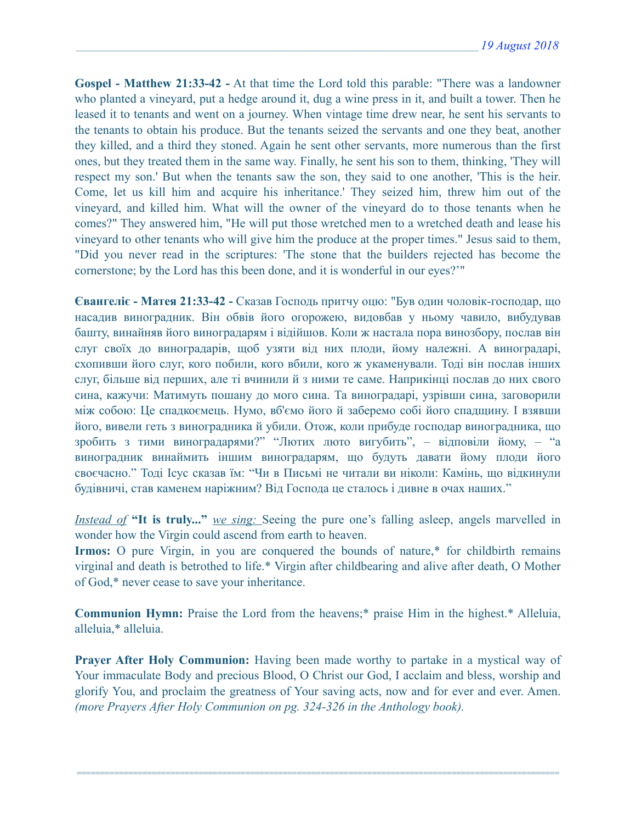**Gospel - Matthew 21:33-42 -** At that time the Lord told this parable: "There was a landowner who planted a vineyard, put a hedge around it, dug a wine press in it, and built a tower. Then he leased it to tenants and went on a journey. When vintage time drew near, he sent his servants to the tenants to obtain his produce. But the tenants seized the servants and one they beat, another they killed, and a third they stoned. Again he sent other servants, more numerous than the first ones, but they treated them in the same way. Finally, he sent his son to them, thinking, 'They will respect my son.' But when the tenants saw the son, they said to one another, 'This is the heir. Come, let us kill him and acquire his inheritance.' They seized him, threw him out of the vineyard, and killed him. What will the owner of the vineyard do to those tenants when he comes?" They answered him, "He will put those wretched men to a wretched death and lease his vineyard to other tenants who will give him the produce at the proper times." Jesus said to them, "Did you never read in the scriptures: 'The stone that the builders rejected has become the cornerstone; by the Lord has this been done, and it is wonderful in our eyes?'"

**Євангеліє - Матея 21:33-42 -** Сказав Господь притчу оцю: "Був один чоловік-господар, що насадив виноградник. Він обвів його огорожею, видовбав у ньому чавило, вибудував башту, винайняв його виноградарям і відійшов. Коли ж настала пора винозбору, послав він слуг своїх до виноградарів, щоб узяти від них плоди, йому належні. А виноградарі, схопивши його слуг, кого побили, кого вбили, кого ж укаменували. Тоді він послав інших слуг, більше від перших, але ті вчинили й з ними те саме. Наприкінці послав до них свого сина, кажучи: Матимуть пошану до мого сина. Та виноградарі, узрівши сина, заговорили між собою: Це спадкоємець. Нумо, вб'ємо його й заберемо собі його спадщину. І взявши його, вивели геть з виноградника й убили. Отож, коли прибуде господар виноградника, що зробить з тими виноградарями?" "Лютих люто вигубить", – відповіли йому, – "а виноградник винаймить іншим виноградарям, що будуть давати йому плоди його своєчасно." Тоді Ісус сказав їм: "Чи в Письмі не читали ви ніколи: Камінь, що відкинули будівничі, став каменем наріжним? Від Господа це сталось і дивне в очах наших."

*Instead of* **"It is truly..."** *we sing:* Seeing the pure one's falling asleep, angels marvelled in wonder how the Virgin could ascend from earth to heaven.

**Irmos:** O pure Virgin, in you are conquered the bounds of nature,\* for childbirth remains virginal and death is betrothed to life.\* Virgin after childbearing and alive after death, O Mother of God,\* never cease to save your inheritance.

**Communion Hymn:** Praise the Lord from the heavens;\* praise Him in the highest.\* Alleluia, alleluia,\* alleluia.

**Prayer After Holy Communion:** Having been made worthy to partake in a mystical way of Your immaculate Body and precious Blood, O Christ our God, I acclaim and bless, worship and glorify You, and proclaim the greatness of Your saving acts, now and for ever and ever. Amen. *(more Prayers After Holy Communion on pg. 324-326 in the Anthology book).*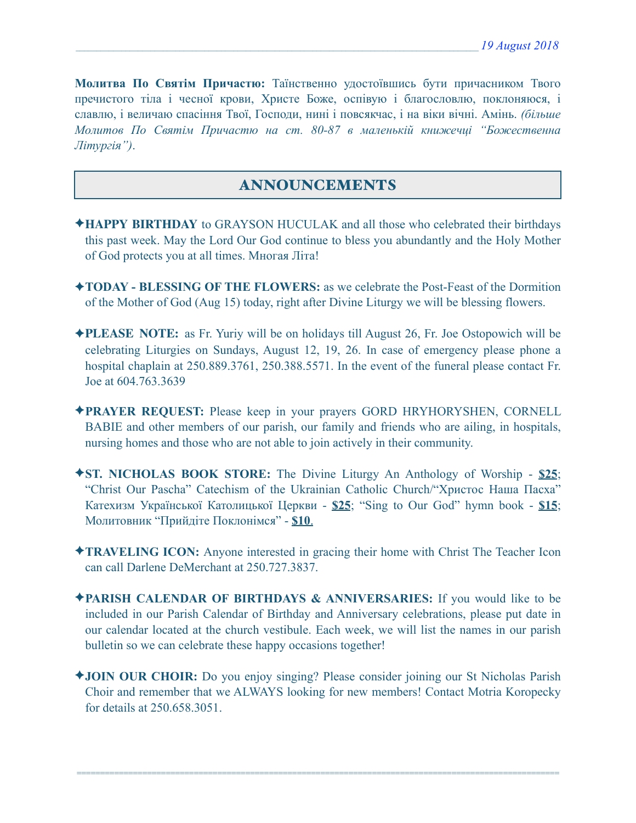**Молитва По Святім Причастю:** Таїнственно удостоївшись бути причасником Твого пречистого тіла і чесної крови, Христе Боже, оспівую і благословлю, поклоняюся, і славлю, і величаю спасіння Твої, Господи, нині і повсякчас, і на віки вічні. Амінь. *(більше Молитов По Святім Причастю на ст. 80-87 в маленькій книжечці "Божественна Літургія")*.

## ANNOUNCEMENTS

- ✦**HAPPY BIRTHDAY** to GRAYSON HUCULAK and all those who celebrated their birthdays this past week. May the Lord Our God continue to bless you abundantly and the Holy Mother of God protects you at all times. Многая Літа!
- ✦**TODAY BLESSING OF THE FLOWERS:** as we celebrate the Post-Feast of the Dormition of the Mother of God (Aug 15) today, right after Divine Liturgy we will be blessing flowers.
- ✦**PLEASE NOTE:** as Fr. Yuriy will be on holidays till August 26, Fr. Joe Ostopowich will be celebrating Liturgies on Sundays, August 12, 19, 26. In case of emergency please phone a hospital chaplain at 250.889.3761, 250.388.5571. In the event of the funeral please contact Fr. Joe at 604.763.3639
- ✦**PRAYER REQUEST:** Please keep in your prayers GORD HRYHORYSHEN, CORNELL BABIE and other members of our parish, our family and friends who are ailing, in hospitals, nursing homes and those who are not able to join actively in their community.
- ✦**ST. NICHOLAS BOOK STORE:** The Divine Liturgy An Anthology of Worship **\$25**; "Christ Our Pascha" Catechism of the Ukrainian Catholic Church/"Христос Наша Пасха" Катехизм Української Католицької Церкви - **\$25**; "Sing to Our God" hymn book - **\$15**; Молитовник "Прийдіте Поклонімся" - **\$10**.
- ✦**TRAVELING ICON:** Anyone interested in gracing their home with Christ The Teacher Icon can call Darlene DeMerchant at 250.727.3837.
- ✦**PARISH CALENDAR OF BIRTHDAYS & ANNIVERSARIES:** If you would like to be included in our Parish Calendar of Birthday and Anniversary celebrations, please put date in our calendar located at the church vestibule. Each week, we will list the names in our parish bulletin so we can celebrate these happy occasions together!
- ✦**JOIN OUR CHOIR:** Do you enjoy singing? Please consider joining our St Nicholas Parish Choir and remember that we ALWAYS looking for new members! Contact Motria Koropecky for details at 250.658.3051.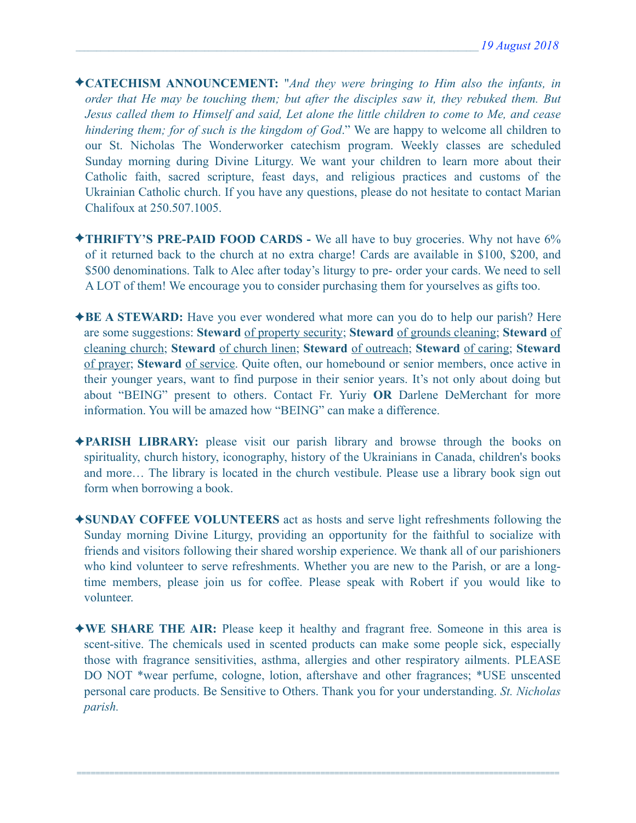- ✦**CATECHISM ANNOUNCEMENT:** "*And they were bringing to Him also the infants, in order that He may be touching them; but after the disciples saw it, they rebuked them. But Jesus called them to Himself and said, Let alone the little children to come to Me, and cease hindering them; for of such is the kingdom of God*." We are happy to welcome all children to our St. Nicholas The Wonderworker catechism program. Weekly classes are scheduled Sunday morning during Divine Liturgy. We want your children to learn more about their Catholic faith, sacred scripture, feast days, and religious practices and customs of the Ukrainian Catholic church. If you have any questions, please do not hesitate to contact Marian Chalifoux at 250.507.1005.
- ✦**THRIFTY'S PRE-PAID FOOD CARDS** We all have to buy groceries. Why not have 6% of it returned back to the church at no extra charge! Cards are available in \$100, \$200, and \$500 denominations. Talk to Alec after today's liturgy to pre- order your cards. We need to sell A LOT of them! We encourage you to consider purchasing them for yourselves as gifts too.
- ✦**BE A STEWARD:** Have you ever wondered what more can you do to help our parish? Here are some suggestions: **Steward** of property security; **Steward** of grounds cleaning; **Steward** of cleaning church; **Steward** of church linen; **Steward** of outreach; **Steward** of caring; **Steward** of prayer; **Steward** of service. Quite often, our homebound or senior members, once active in their younger years, want to find purpose in their senior years. It's not only about doing but about "BEING" present to others. Contact Fr. Yuriy **OR** Darlene DeMerchant for more information. You will be amazed how "BEING" can make a difference.
- ✦**PARISH LIBRARY:** please visit our parish library and browse through the books on spirituality, church history, iconography, history of the Ukrainians in Canada, children's books and more… The library is located in the church vestibule. Please use a library book sign out form when borrowing a book.
- ✦**SUNDAY COFFEE VOLUNTEERS** act as hosts and serve light refreshments following the Sunday morning Divine Liturgy, providing an opportunity for the faithful to socialize with friends and visitors following their shared worship experience. We thank all of our parishioners who kind volunteer to serve refreshments. Whether you are new to the Parish, or are a longtime members, please join us for coffee. Please speak with Robert if you would like to volunteer.
- ✦**WE SHARE THE AIR:** Please keep it healthy and fragrant free. Someone in this area is scent-sitive. The chemicals used in scented products can make some people sick, especially those with fragrance sensitivities, asthma, allergies and other respiratory ailments. PLEASE DO NOT \*wear perfume, cologne, lotion, aftershave and other fragrances; \*USE unscented personal care products. Be Sensitive to Others. Thank you for your understanding. *St. Nicholas parish.*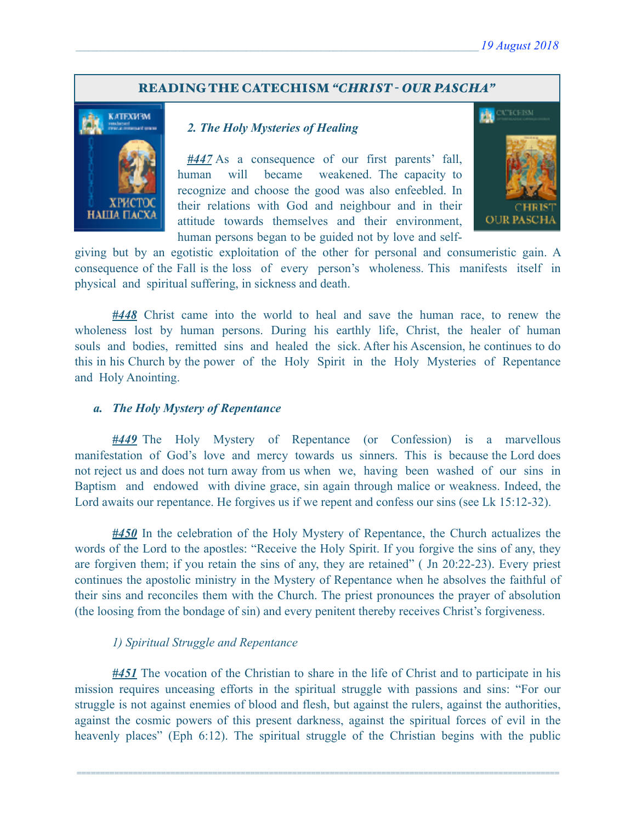### READING THE CATECHISM *"CHRIST - OUR PASCHA"*



### *2. The Holy Mysteries of Healing*

*#447* As a consequence of our first parents' fall, human will became weakened. The capacity to recognize and choose the good was also enfeebled. In their relations with God and neighbour and in their attitude towards themselves and their environment, human persons began to be guided not by love and self-



giving but by an egotistic exploitation of the other for personal and consumeristic gain. A consequence of the Fall is the loss of every person's wholeness. This manifests itself in physical and spiritual suffering, in sickness and death.

*#448* Christ came into the world to heal and save the human race, to renew the wholeness lost by human persons. During his earthly life, Christ, the healer of human souls and bodies, remitted sins and healed the sick. After his Ascension, he continues to do this in his Church by the power of the Holy Spirit in the Holy Mysteries of Repentance and Holy Anointing.

#### *a. The Holy Mystery of Repentance*

*#449* The Holy Mystery of Repentance (or Confession) is a marvellous manifestation of God's love and mercy towards us sinners. This is because the Lord does not reject us and does not turn away from us when we, having been washed of our sins in Baptism and endowed with divine grace, sin again through malice or weakness. Indeed, the Lord awaits our repentance. He forgives us if we repent and confess our sins (see Lk 15:12-32).

*#450* In the celebration of the Holy Mystery of Repentance, the Church actualizes the words of the Lord to the apostles: "Receive the Holy Spirit. If you forgive the sins of any, they are forgiven them; if you retain the sins of any, they are retained" ( Jn 20:22-23). Every priest continues the apostolic ministry in the Mystery of Repentance when he absolves the faithful of their sins and reconciles them with the Church. The priest pronounces the prayer of absolution (the loosing from the bondage of sin) and every penitent thereby receives Christ's forgiveness.

### *1) Spiritual Struggle and Repentance*

*#451* The vocation of the Christian to share in the life of Christ and to participate in his mission requires unceasing efforts in the spiritual struggle with passions and sins: "For our struggle is not against enemies of blood and flesh, but against the rulers, against the authorities, against the cosmic powers of this present darkness, against the spiritual forces of evil in the heavenly places" (Eph 6:12). The spiritual struggle of the Christian begins with the public